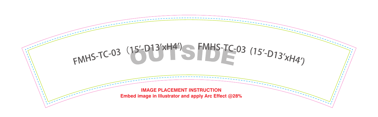

# FMHS-TC-03 (15'-D13'xH4') FMHS-TC-03 (15'-D13'xH4')

### **IMAGE PLACEMENT INSTRUCTION Embed image in Illustrator and apply Arc Effect @28%**

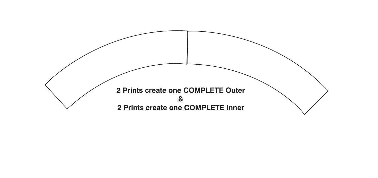## **2 Prints create one COMPLETE Outer & 2 Prints create one COMPLETE Inner**